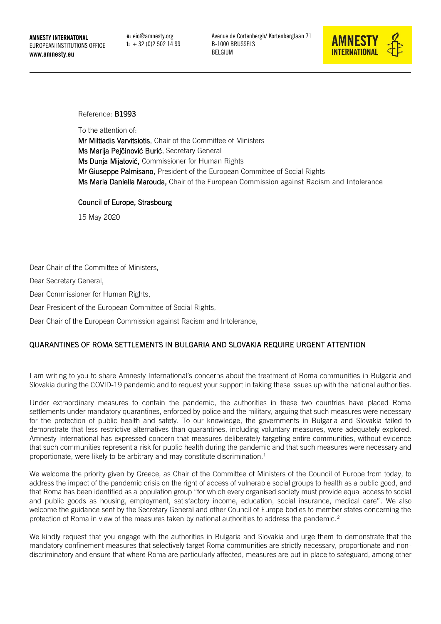e: eio@amnesty.org  $t: +32(0)25021499$ 



Reference: B1993

To the attention of:

Mr Miltiadis Varvitsiotis, Chair of the Committee of Ministers Ms Marija Pejčinović Burić, Secretary General Ms Dunja Mijatović, Commissioner for Human Rights Mr Giuseppe Palmisano, President of the European Committee of Social Rights Ms Maria Daniella Marouda, Chair of the European Commission against Racism and Intolerance

Council of Europe, Strasbourg

15 May 2020

Dear Chair of the Committee of Ministers,

Dear Secretary General,

Dear Commissioner for Human Rights,

Dear President of the European Committee of Social Rights,

Dear Chair of the European Commission against Racism and Intolerance,

## QUARANTINES OF ROMA SETTLEMENTS IN BULGARIA AND SLOVAKIA REQUIRE URGENT ATTENTION

I am writing to you to share Amnesty International's concerns about the treatment of Roma communities in Bulgaria and Slovakia during the COVID-19 pandemic and to request your support in taking these issues up with the national authorities.

Under extraordinary measures to contain the pandemic, the authorities in these two countries have placed Roma settlements under mandatory quarantines, enforced by police and the military, arguing that such measures were necessary for the protection of public health and safety. To our knowledge, the governments in Bulgaria and Slovakia failed to demonstrate that less restrictive alternatives than quarantines, including voluntary measures, were adequately explored. Amnesty International has expressed concern that measures deliberately targeting entire communities, without evidence that such communities represent a risk for public health during the pandemic and that such measures were necessary and proportionate, were likely to be arbitrary and may constitute discrimination.<sup>1</sup>

We welcome the priority given by Greece, as Chair of the Committee of Ministers of the Council of Europe from today, to address the impact of the pandemic crisis on the right of access of vulnerable social groups to health as a public good, and that Roma has been identified as a population group "for which every organised society must provide equal access to social and public goods as housing, employment, satisfactory income, education, social insurance, medical care". We also welcome the guidance sent by the Secretary General and other Council of Europe bodies to member states concerning the protection of Roma in view of the measures taken by national authorities to address the pandemic.<sup>2</sup>

We kindly request that you engage with the authorities in Bulgaria and Slovakia and urge them to demonstrate that the mandatory confinement measures that selectively target Roma communities are strictly necessary, proportionate and nondiscriminatory and ensure that where Roma are particularly affected, measures are put in place to safeguard, among other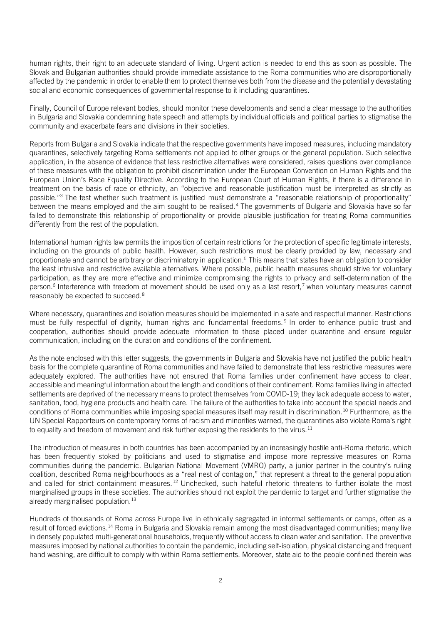human rights, their right to an adequate standard of living. Urgent action is needed to end this as soon as possible. The Slovak and Bulgarian authorities should provide immediate assistance to the Roma communities who are disproportionally affected by the pandemic in order to enable them to protect themselves both from the disease and the potentially devastating social and economic consequences of governmental response to it including quarantines.

Finally, Council of Europe relevant bodies, should monitor these developments and send a clear message to the authorities in Bulgaria and Slovakia condemning hate speech and attempts by individual officials and political parties to stigmatise the community and exacerbate fears and divisions in their societies.

Reports from Bulgaria and Slovakia indicate that the respective governments have imposed measures, including mandatory quarantines, selectively targeting Roma settlements not applied to other groups or the general population. Such selective application, in the absence of evidence that less restrictive alternatives were considered, raises questions over compliance of these measures with the obligation to prohibit discrimination under the European Convention on Human Rights and the European Union's Race Equality Directive. According to the European Court of Human Rights, if there is a difference in treatment on the basis of race or ethnicity, an "objective and reasonable justification must be interpreted as strictly as possible."<sup>3</sup> The test whether such treatment is justified must demonstrate a "reasonable relationship of proportionality" between the means employed and the aim sought to be realised.<sup>4</sup> The governments of Bulgaria and Slovakia have so far failed to demonstrate this relationship of proportionality or provide plausible justification for treating Roma communities differently from the rest of the population.

International human rights law permits the imposition of certain restrictions for the protection of specific legitimate interests, including on the grounds of public health. However, such restrictions must be clearly provided by law, necessary and proportionate and cannot be arbitrary or discriminatory in application.<sup>5</sup> This means that states have an obligation to consider the least intrusive and restrictive available alternatives. Where possible, public health measures should strive for voluntary participation, as they are more effective and minimize compromising the rights to privacy and self-determination of the person.<sup>6</sup> Interference with freedom of movement should be used only as a last resort,<sup>7</sup> when voluntary measures cannot reasonably be expected to succeed.<sup>8</sup>

Where necessary, quarantines and isolation measures should be implemented in a safe and respectful manner. Restrictions must be fully respectful of dignity, human rights and fundamental freedoms. <sup>9</sup> In order to enhance public trust and cooperation, authorities should provide adequate information to those placed under quarantine and ensure regular communication, including on the duration and conditions of the confinement.

As the note enclosed with this letter suggests, the governments in Bulgaria and Slovakia have not justified the public health basis for the complete quarantine of Roma communities and have failed to demonstrate that less restrictive measures were adequately explored. The authorities have not ensured that Roma families under confinement have access to clear, accessible and meaningful information about the length and conditions of their confinement. Roma families living in affected settlements are deprived of the necessary means to protect themselves from COVID-19; they lack adequate access to water, sanitation, food, hygiene products and health care. The failure of the authorities to take into account the special needs and conditions of Roma communities while imposing special measures itself may result in discrimination.<sup>10</sup> Furthermore, as the UN Special Rapporteurs on contemporary forms of racism and minorities warned, the quarantines also violate Roma's right to equality and freedom of movement and risk further exposing the residents to the virus.<sup>11</sup>

The introduction of measures in both countries has been accompanied by an increasingly hostile anti-Roma rhetoric, which has been frequently stoked by politicians and used to stigmatise and impose more repressive measures on Roma communities during the pandemic. Bulgarian National Movement (VMRO) party, a junior partner in the country's ruling coalition, described Roma neighbourhoods as a "real nest of contagion," that represent a threat to the general population and called for strict containment measures.<sup>12</sup> Unchecked, such hateful rhetoric threatens to further isolate the most marginalised groups in these societies. The authorities should not exploit the pandemic to target and further stigmatise the already marginalised population. $13$ 

Hundreds of thousands of Roma across Europe live in ethnically segregated in informal settlements or camps, often as a result of forced evictions.<sup>14</sup> Roma in Bulgaria and Slovakia remain among the most disadvantaged communities; many live in densely populated multi-generational households, frequently without access to clean water and sanitation. The preventive measures imposed by national authorities to contain the pandemic, including self-isolation, physical distancing and frequent hand washing, are difficult to comply with within Roma settlements. Moreover, state aid to the people confined therein was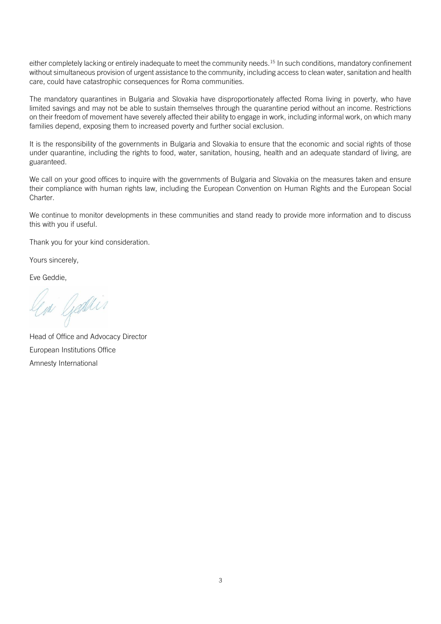either completely lacking or entirely inadequate to meet the community needs.<sup>15</sup> In such conditions, mandatory confinement without simultaneous provision of urgent assistance to the community, including access to clean water, sanitation and health care, could have catastrophic consequences for Roma communities.

The mandatory quarantines in Bulgaria and Slovakia have disproportionately affected Roma living in poverty, who have limited savings and may not be able to sustain themselves through the quarantine period without an income. Restrictions on their freedom of movement have severely affected their ability to engage in work, including informal work, on which many families depend, exposing them to increased poverty and further social exclusion.

It is the responsibility of the governments in Bulgaria and Slovakia to ensure that the economic and social rights of those under quarantine, including the rights to food, water, sanitation, housing, health and an adequate standard of living, are guaranteed.

We call on your good offices to inquire with the governments of Bulgaria and Slovakia on the measures taken and ensure their compliance with human rights law, including the European Convention on Human Rights and the European Social Charter.

We continue to monitor developments in these communities and stand ready to provide more information and to discuss this with you if useful.

Thank you for your kind consideration.

Yours sincerely,

Eve Geddie,

n Gadin

Head of Office and Advocacy Director European Institutions Office Amnesty International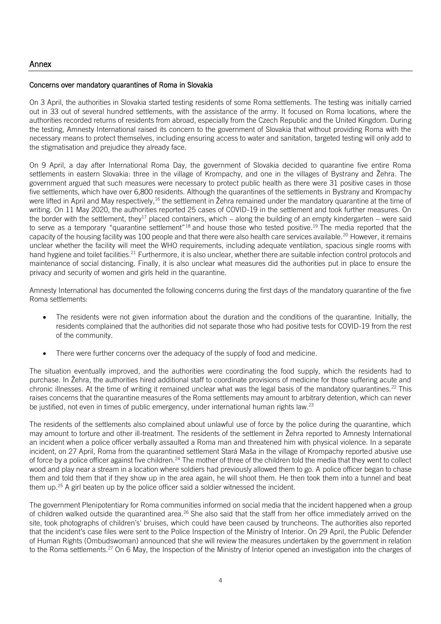## Concerns over mandatory quarantines of Roma in Slovakia

On 3 April, the authorities in Slovakia started testing residents of some Roma settlements. The testing was initially carried out in 33 out of several hundred settlements, with the assistance of the army. It focused on Roma locations, where the authorities recorded returns of residents from abroad, especially from the Czech Republic and the United Kingdom. During the testing, Amnesty International raised its concern to the government of Slovakia that without providing Roma with the necessary means to protect themselves, including ensuring access to water and sanitation, targeted testing will only add to the stigmatisation and prejudice they already face.

On 9 April, a day after International Roma Day, the government of Slovakia decided to quarantine five entire Roma settlements in eastern Slovakia: three in the village of Krompachy, and one in the villages of Bystrany and Žehra. The government argued that such measures were necessary to protect public health as there were 31 positive cases in those five settlements, which have over 6,800 residents. Although the quarantines of the settlements in Bystrany and Krompachy were lifted in April and May respectively,<sup>16</sup> the settlement in Žehra remained under the mandatory quarantine at the time of writing. On 11 May 2020, the authorities reported 25 cases of COVID-19 in the settlement and took further measures. On the border with the settlement, they<sup>17</sup> placed containers, which – along the building of an empty kindergarten – were said to serve as a temporary "quarantine settlement"<sup>18</sup> and house those who tested positive.<sup>19</sup> The media reported that the capacity of the housing facility was 100 people and that there were also health care services available.<sup>20</sup> However, it remains unclear whether the facility will meet the WHO requirements, including adequate ventilation, spacious single rooms with hand hygiene and toilet facilities.<sup>21</sup> Furthermore, it is also unclear, whether there are suitable infection control protocols and maintenance of social distancing. Finally, it is also unclear what measures did the authorities put in place to ensure the privacy and security of women and girls held in the quarantine.

Amnesty International has documented the following concerns during the first days of the mandatory quarantine of the five Roma settlements:

- The residents were not given information about the duration and the conditions of the quarantine. Initially, the residents complained that the authorities did not separate those who had positive tests for COVID-19 from the rest of the community.
- There were further concerns over the adequacy of the supply of food and medicine.

The situation eventually improved, and the authorities were coordinating the food supply, which the residents had to purchase. In Žehra, the authorities hired additional staff to coordinate provisions of medicine for those suffering acute and chronic illnesses. At the time of writing it remained unclear what was the legal basis of the mandatory quarantines.<sup>22</sup> This raises concerns that the quarantine measures of the Roma settlements may amount to arbitrary detention, which can never be justified, not even in times of public emergency, under international human rights law.<sup>23</sup>

The residents of the settlements also complained about unlawful use of force by the police during the quarantine, which may amount to torture and other ill-treatment. The residents of the settlement in Žehra reported to Amnesty International an incident when a police officer verbally assaulted a Roma man and threatened him with physical violence. In a separate incident, on 27 April, Roma from the quarantined settlement Stará Maša in the village of Krompachy reported abusive use of force by a police officer against five children.<sup>24</sup> The mother of three of the children told the media that they went to collect wood and play near a stream in a location where soldiers had previously allowed them to go. A police officer began to chase them and told them that if they show up in the area again, he will shoot them. He then took them into a tunnel and beat them up. $25$  A girl beaten up by the police officer said a soldier witnessed the incident.

The government Plenipotentiary for Roma communities informed on social media that the incident happened when a group of children walked outside the quarantined area.<sup>26</sup> She also said that the staff from her office immediately arrived on the site, took photographs of children's' bruises, which could have been caused by truncheons. The authorities also reported that the incident's case files were sent to the Police Inspection of the Ministry of Interior. On 29 April, the Public Defender of Human Rights (Ombudswoman) announced that she will review the measures undertaken by the government in relation to the Roma settlements.<sup>27</sup> On 6 May, the Inspection of the Ministry of Interior opened an investigation into the charges of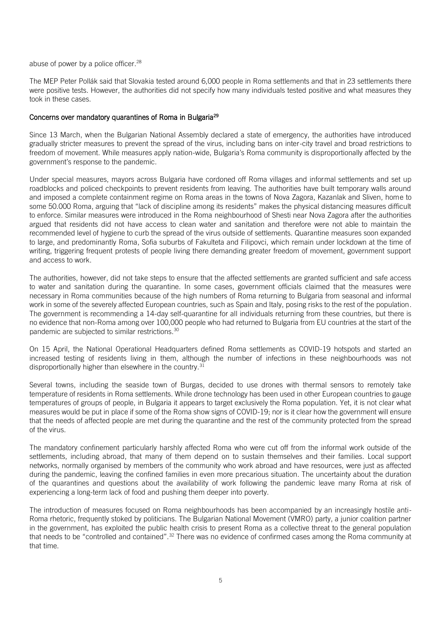abuse of power by a police officer.<sup>28</sup>

The MEP Peter Pollák said that Slovakia tested around 6,000 people in Roma settlements and that in 23 settlements there were positive tests. However, the authorities did not specify how many individuals tested positive and what measures they took in these cases.

## Concerns over mandatory quarantines of Roma in Bulgaria<sup>29</sup>

Since 13 March, when the Bulgarian National Assembly declared a state of emergency, the authorities have introduced gradually stricter measures to prevent the spread of the virus, including bans on inter-city travel and broad restrictions to freedom of movement. While measures apply nation-wide, Bulgaria's Roma community is disproportionally affected by the government's response to the pandemic.

Under special measures, mayors across Bulgaria have cordoned off Roma villages and informal settlements and set up roadblocks and policed checkpoints to prevent residents from leaving. The authorities have built temporary walls around and imposed a complete containment regime on Roma areas in the towns of Nova Zagora, Kazanlak and Sliven, home to some 50.000 Roma, arguing that "lack of discipline among its residents" makes the physical distancing measures difficult to enforce. Similar measures were introduced in the Roma neighbourhood of Shesti near Nova Zagora after the authorities argued that residents did not have access to clean water and sanitation and therefore were not able to maintain the recommended level of hygiene to curb the spread of the virus outside of settlements. Quarantine measures soon expanded to large, and predominantly Roma, Sofia suburbs of Fakulteta and Filipovci, which remain under lockdown at the time of writing, triggering frequent protests of people living there demanding greater freedom of movement, government support and access to work.

The authorities, however, did not take steps to ensure that the affected settlements are granted sufficient and safe access to water and sanitation during the quarantine. In some cases, government officials claimed that the measures were necessary in Roma communities because of the high numbers of Roma returning to Bulgaria from seasonal and informal work in some of the severely affected European countries, such as Spain and Italy, posing risks to the rest of the population. The government is recommending a 14-day self-quarantine for all individuals returning from these countries, but there is no evidence that non-Roma among over 100,000 people who had returned to Bulgaria from EU countries at the start of the pandemic are subjected to similar restrictions.<sup>30</sup>

On 15 April, the National Operational Headquarters defined Roma settlements as COVID-19 hotspots and started an increased testing of residents living in them, although the number of infections in these neighbourhoods was not disproportionally higher than elsewhere in the country.<sup>31</sup>

Several towns, including the seaside town of Burgas, decided to use drones with thermal sensors to remotely take temperature of residents in Roma settlements. While drone technology has been used in other European countries to gauge temperatures of groups of people, in Bulgaria it appears to target exclusively the Roma population. Yet, it is not clear what measures would be put in place if some of the Roma show signs of COVID-19; nor is it clear how the government will ensure that the needs of affected people are met during the quarantine and the rest of the community protected from the spread of the virus.

The mandatory confinement particularly harshly affected Roma who were cut off from the informal work outside of the settlements, including abroad, that many of them depend on to sustain themselves and their families. Local support networks, normally organised by members of the community who work abroad and have resources, were just as affected during the pandemic, leaving the confined families in even more precarious situation. The uncertainty about the duration of the quarantines and questions about the availability of work following the pandemic leave many Roma at risk of experiencing a long-term lack of food and pushing them deeper into poverty.

The introduction of measures focused on Roma neighbourhoods has been accompanied by an increasingly hostile anti-Roma rhetoric, frequently stoked by politicians. The Bulgarian National Movement (VMRO) party, a junior coalition partner in the government, has exploited the public health crisis to present Roma as a collective threat to the general population that needs to be "controlled and contained".<sup>32</sup> There was no evidence of confirmed cases among the Roma community at that time.